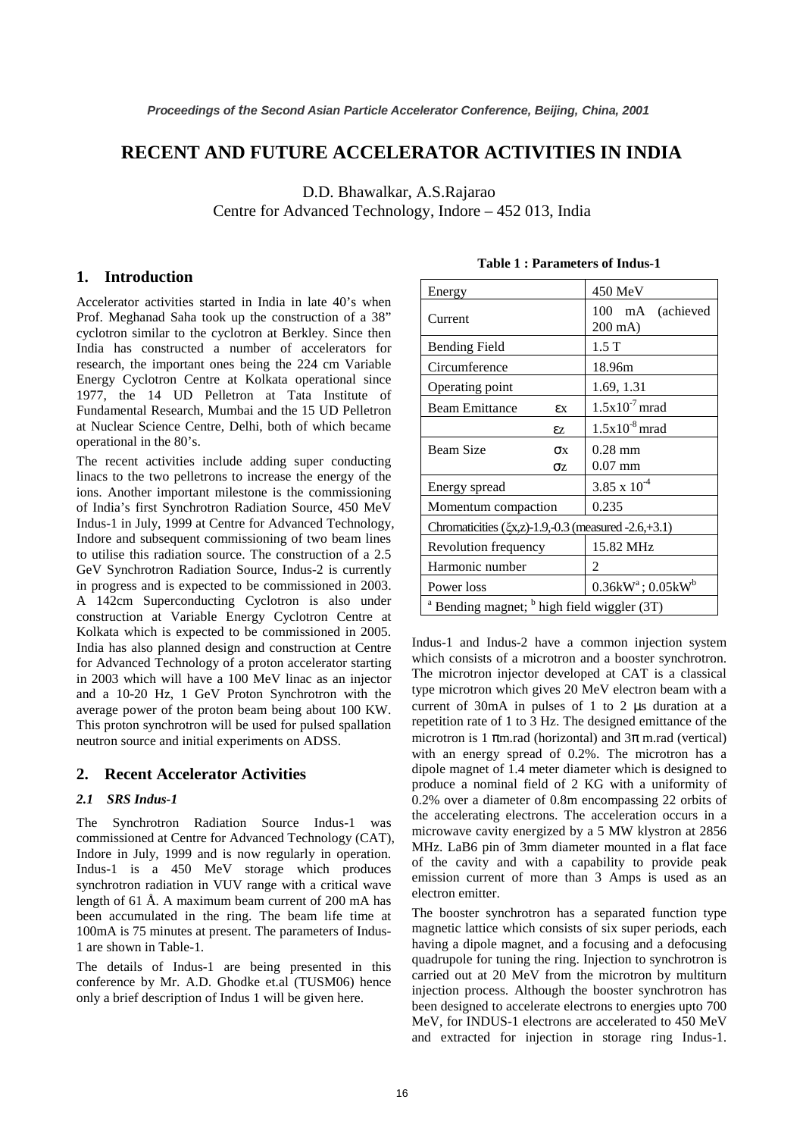# **RECENT AND FUTURE ACCELERATOR ACTIVITIES IN INDIA**

D.D. Bhawalkar, A.S.Rajarao

Centre for Advanced Technology, Indore – 452 013, India

### **1. Introduction**

Accelerator activities started in India in late 40's when Prof. Meghanad Saha took up the construction of a 38" cyclotron similar to the cyclotron at Berkley. Since then India has constructed a number of accelerators for research, the important ones being the 224 cm Variable Energy Cyclotron Centre at Kolkata operational since 1977, the 14 UD Pelletron at Tata Institute of Fundamental Research, Mumbai and the 15 UD Pelletron at Nuclear Science Centre, Delhi, both of which became operational in the 80's.

The recent activities include adding super conducting linacs to the two pelletrons to increase the energy of the ions. Another important milestone is the commissioning of India's first Synchrotron Radiation Source, 450 MeV Indus-1 in July, 1999 at Centre for Advanced Technology, Indore and subsequent commissioning of two beam lines to utilise this radiation source. The construction of a 2.5 GeV Synchrotron Radiation Source, Indus-2 is currently in progress and is expected to be commissioned in 2003. A 142cm Superconducting Cyclotron is also under construction at Variable Energy Cyclotron Centre at Kolkata which is expected to be commissioned in 2005. India has also planned design and construction at Centre for Advanced Technology of a proton accelerator starting in 2003 which will have a 100 MeV linac as an injector and a 10-20 Hz, 1 GeV Proton Synchrotron with the average power of the proton beam being about 100 KW. This proton synchrotron will be used for pulsed spallation neutron source and initial experiments on ADSS.

## **2. Recent Accelerator Activities**

### *2.1 SRS Indus-1*

The Synchrotron Radiation Source Indus-1 was commissioned at Centre for Advanced Technology (CAT), Indore in July, 1999 and is now regularly in operation. Indus-1 is a 450 MeV storage which produces synchrotron radiation in VUV range with a critical wave length of 61 Å. A maximum beam current of 200 mA has been accumulated in the ring. The beam life time at 100mA is 75 minutes at present. The parameters of Indus-1 are shown in Table-1.

The details of Indus-1 are being presented in this conference by Mr. A.D. Ghodke et.al (TUSM06) hence only a brief description of Indus 1 will be given here.

| Energy                                              |                       | 450 MeV                              |
|-----------------------------------------------------|-----------------------|--------------------------------------|
| Current                                             |                       | 100 mA (achieved<br>$200 \text{ mA}$ |
| <b>Bending Field</b>                                |                       | 1.5T                                 |
| Circumference                                       |                       | 18.96m                               |
| Operating point                                     |                       | 1.69, 1.31                           |
| <b>Beam Emittance</b>                               | εx                    | $1.5x10^{-7}$ mrad                   |
|                                                     | εz.                   | $1.5x10^{-8}$ mrad                   |
| <b>Beam Size</b>                                    | $\sigma$ <sub>x</sub> | $0.28$ mm                            |
|                                                     | σz                    | $0.07$ mm                            |
| Energy spread                                       |                       | $3.85 \times 10^{-4}$                |
| Momentum compaction                                 |                       | 0.235                                |
| Chromaticities (ξx,z)-1.9,-0.3 (measured -2.6,+3.1) |                       |                                      |
| Revolution frequency                                |                       | 15.82 MHz                            |
| Harmonic number                                     |                       | 2                                    |
| Power loss                                          |                       | $0.36$ k $W^a$ ; $0.05$ k $W^b$      |

 $a$  Bending magnet;  $b$  high field wiggler (3T)

### **Table 1 : Parameters of Indus-1**

Indus-1 and Indus-2 have a common injection system which consists of a microtron and a booster synchrotron. The microtron injector developed at CAT is a classical type microtron which gives 20 MeV electron beam with a current of 30mA in pulses of 1 to 2 µs duration at a repetition rate of 1 to 3 Hz. The designed emittance of the microtron is 1  $\pi$ m.rad (horizontal) and  $3\pi$  m.rad (vertical) with an energy spread of 0.2%. The microtron has a dipole magnet of 1.4 meter diameter which is designed to produce a nominal field of 2 KG with a uniformity of 0.2% over a diameter of 0.8m encompassing 22 orbits of the accelerating electrons. The acceleration occurs in a microwave cavity energized by a 5 MW klystron at 2856 MHz. LaB6 pin of 3mm diameter mounted in a flat face of the cavity and with a capability to provide peak emission current of more than 3 Amps is used as an electron emitter.

The booster synchrotron has a separated function type magnetic lattice which consists of six super periods, each having a dipole magnet, and a focusing and a defocusing quadrupole for tuning the ring. Injection to synchrotron is carried out at 20 MeV from the microtron by multiturn injection process. Although the booster synchrotron has been designed to accelerate electrons to energies upto 700 MeV, for INDUS-1 electrons are accelerated to 450 MeV and extracted for injection in storage ring Indus-1.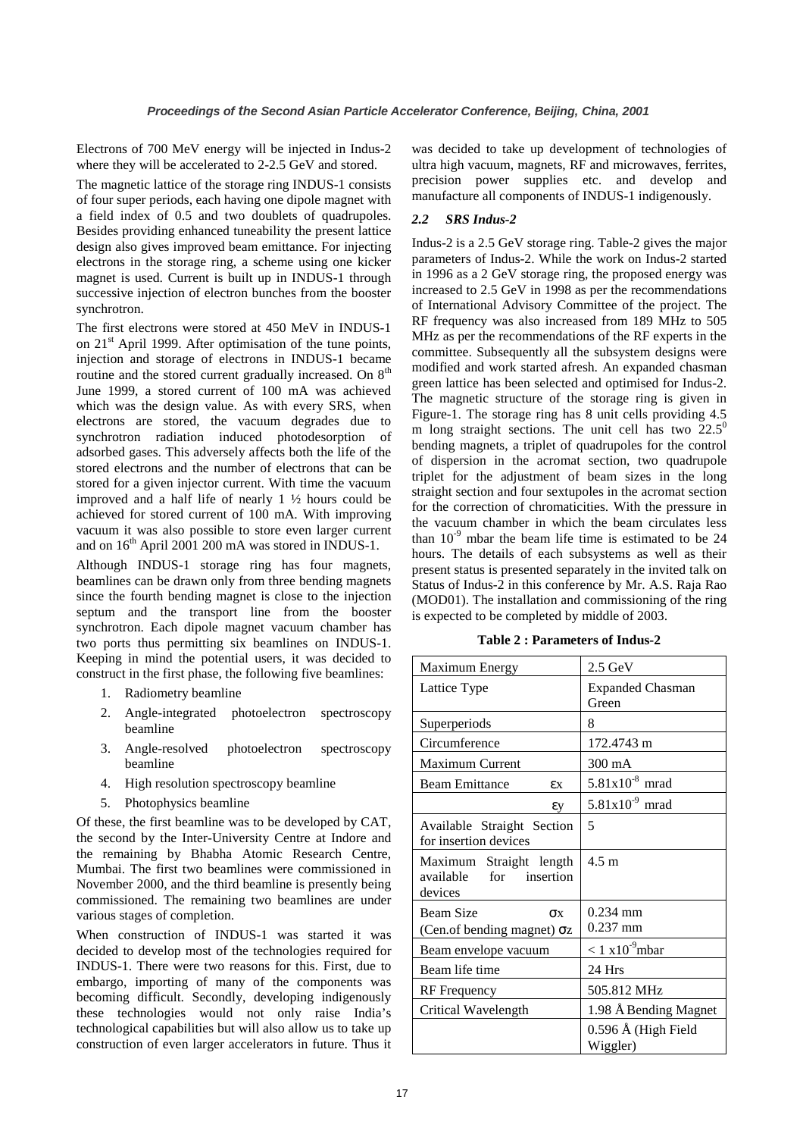Electrons of 700 MeV energy will be injected in Indus-2 where they will be accelerated to 2-2.5 GeV and stored.

The magnetic lattice of the storage ring INDUS-1 consists of four super periods, each having one dipole magnet with a field index of 0.5 and two doublets of quadrupoles. Besides providing enhanced tuneability the present lattice design also gives improved beam emittance. For injecting electrons in the storage ring, a scheme using one kicker magnet is used. Current is built up in INDUS-1 through successive injection of electron bunches from the booster synchrotron.

The first electrons were stored at 450 MeV in INDUS-1 on 21<sup>st</sup> April 1999. After optimisation of the tune points, injection and storage of electrons in INDUS-1 became routine and the stored current gradually increased. On 8<sup>th</sup> June 1999, a stored current of 100 mA was achieved which was the design value. As with every SRS, when electrons are stored, the vacuum degrades due to synchrotron radiation induced photodesorption of adsorbed gases. This adversely affects both the life of the stored electrons and the number of electrons that can be stored for a given injector current. With time the vacuum improved and a half life of nearly 1 ½ hours could be achieved for stored current of 100 mA. With improving vacuum it was also possible to store even larger current and on  $16<sup>th</sup>$  April 2001 200 mA was stored in INDUS-1.

Although INDUS-1 storage ring has four magnets, beamlines can be drawn only from three bending magnets since the fourth bending magnet is close to the injection septum and the transport line from the booster synchrotron. Each dipole magnet vacuum chamber has two ports thus permitting six beamlines on INDUS-1. Keeping in mind the potential users, it was decided to construct in the first phase, the following five beamlines:

- 1. Radiometry beamline
- 2. Angle-integrated photoelectron spectroscopy beamline
- 3. Angle-resolved photoelectron spectroscopy beamline
- 4. High resolution spectroscopy beamline
- 5. Photophysics beamline

Of these, the first beamline was to be developed by CAT, the second by the Inter-University Centre at Indore and the remaining by Bhabha Atomic Research Centre, Mumbai. The first two beamlines were commissioned in November 2000, and the third beamline is presently being commissioned. The remaining two beamlines are under various stages of completion.

When construction of INDUS-1 was started it was decided to develop most of the technologies required for INDUS-1. There were two reasons for this. First, due to embargo, importing of many of the components was becoming difficult. Secondly, developing indigenously these technologies would not only raise India's technological capabilities but will also allow us to take up construction of even larger accelerators in future. Thus it was decided to take up development of technologies of ultra high vacuum, magnets, RF and microwaves, ferrites, precision power supplies etc. and develop and manufacture all components of INDUS-1 indigenously.

### *2.2 SRS Indus-2*

Indus-2 is a 2.5 GeV storage ring. Table-2 gives the major parameters of Indus-2. While the work on Indus-2 started in 1996 as a 2 GeV storage ring, the proposed energy was increased to 2.5 GeV in 1998 as per the recommendations of International Advisory Committee of the project. The RF frequency was also increased from 189 MHz to 505 MHz as per the recommendations of the RF experts in the committee. Subsequently all the subsystem designs were modified and work started afresh. An expanded chasman green lattice has been selected and optimised for Indus-2. The magnetic structure of the storage ring is given in Figure-1. The storage ring has 8 unit cells providing 4.5 m long straight sections. The unit cell has two  $22.5^\circ$ bending magnets, a triplet of quadrupoles for the control of dispersion in the acromat section, two quadrupole triplet for the adjustment of beam sizes in the long straight section and four sextupoles in the acromat section for the correction of chromaticities. With the pressure in the vacuum chamber in which the beam circulates less than  $10^{-9}$  mbar the beam life time is estimated to be 24 hours. The details of each subsystems as well as their present status is presented separately in the invited talk on Status of Indus-2 in this conference by Mr. A.S. Raja Rao (MOD01). The installation and commissioning of the ring is expected to be completed by middle of 2003.

**Table 2 : Parameters of Indus-2** 

| Maximum Energy                            | $2.5 \text{ GeV}$            |
|-------------------------------------------|------------------------------|
| Lattice Type                              | <b>Expanded Chasman</b>      |
|                                           | Green                        |
| Superperiods                              | 8                            |
| Circumference                             | 172.4743 m                   |
| Maximum Current                           | 300 mA                       |
| <b>Beam Emittance</b><br>εx               | $5.81x10^{8}$ mrad           |
| εy                                        | $5.81x10^{9}$ mrad           |
| Available Straight Section                | 5                            |
| for insertion devices                     |                              |
| Maximum Straight length                   | $4.5 \text{ m}$              |
| available<br>for<br>insertion             |                              |
| devices                                   |                              |
| <b>Beam Size</b><br>$\sigma$ <sub>x</sub> | $0.234$ mm                   |
| (Cen.of bending magnet) $\sigma$ z        | $0.237$ mm                   |
| Beam envelope vacuum                      | $< 1$ x10 <sup>-9</sup> mbar |
| Beam life time                            | 24 Hrs                       |
| RF Frequency                              | 505.812 MHz                  |
| Critical Wavelength                       | 1.98 Å Bending Magnet        |
|                                           | $0.596$ Å (High Field        |
|                                           | Wiggler)                     |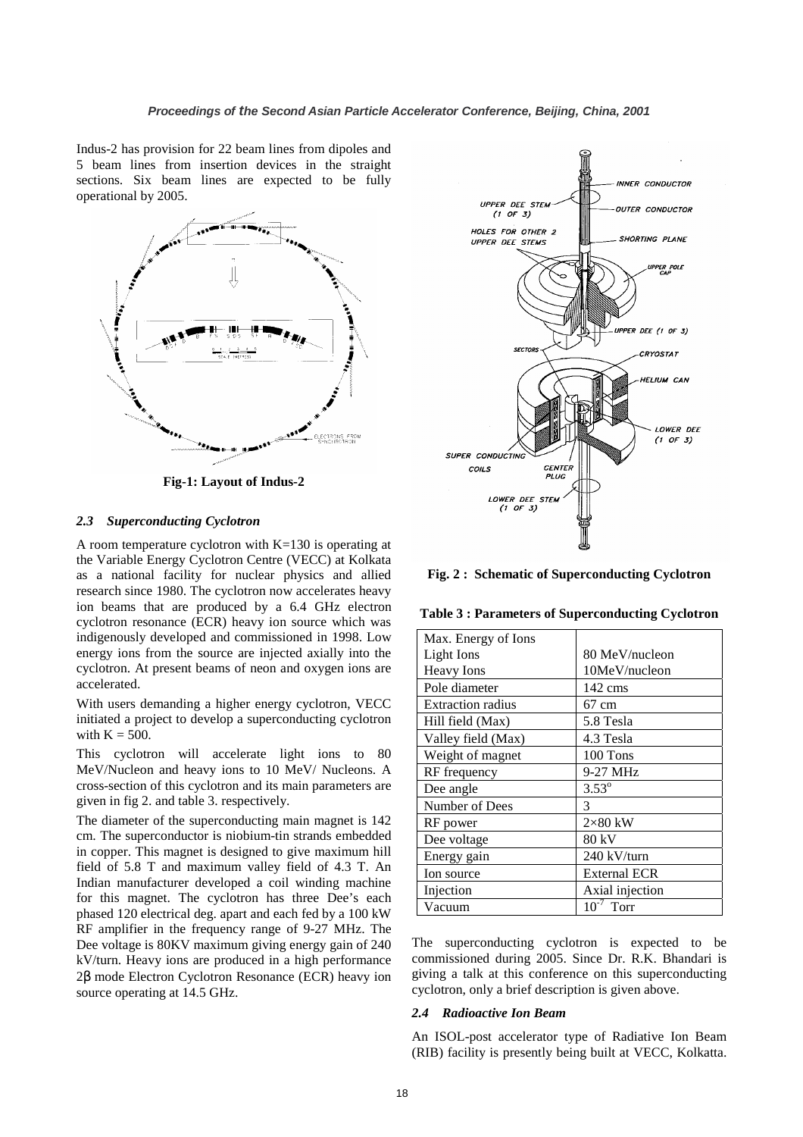Indus-2 has provision for 22 beam lines from dipoles and 5 beam lines from insertion devices in the straight sections. Six beam lines are expected to be fully operational by 2005.



**Fig-1: Layout of Indus-2** 

#### *2.3 Superconducting Cyclotron*

A room temperature cyclotron with  $K=130$  is operating at the Variable Energy Cyclotron Centre (VECC) at Kolkata as a national facility for nuclear physics and allied research since 1980. The cyclotron now accelerates heavy ion beams that are produced by a 6.4 GHz electron cyclotron resonance (ECR) heavy ion source which was indigenously developed and commissioned in 1998. Low energy ions from the source are injected axially into the cyclotron. At present beams of neon and oxygen ions are accelerated.

With users demanding a higher energy cyclotron, VECC initiated a project to develop a superconducting cyclotron with  $K = 500$ .

This cyclotron will accelerate light ions to 80 MeV/Nucleon and heavy ions to 10 MeV/ Nucleons. A cross-section of this cyclotron and its main parameters are given in fig 2. and table 3. respectively.

The diameter of the superconducting main magnet is 142 cm. The superconductor is niobium-tin strands embedded in copper. This magnet is designed to give maximum hill field of 5.8 T and maximum valley field of 4.3 T. An Indian manufacturer developed a coil winding machine for this magnet. The cyclotron has three Dee's each phased 120 electrical deg. apart and each fed by a 100 kW RF amplifier in the frequency range of 9-27 MHz. The Dee voltage is 80KV maximum giving energy gain of 240 kV/turn. Heavy ions are produced in a high performance 2β mode Electron Cyclotron Resonance (ECR) heavy ion source operating at 14.5 GHz.



**Fig. 2 : Schematic of Superconducting Cyclotron** 

**Table 3 : Parameters of Superconducting Cyclotron** 

| Max. Energy of Ions      |                     |
|--------------------------|---------------------|
| Light Ions               | 80 MeV/nucleon      |
| <b>Heavy</b> Ions        | 10MeV/nucleon       |
| Pole diameter            | $142 \text{ cm}$    |
| <b>Extraction radius</b> | $67 \text{ cm}$     |
| Hill field (Max)         | 5.8 Tesla           |
| Valley field (Max)       | 4.3 Tesla           |
| Weight of magnet         | 100 Tons            |
| RF frequency             | 9-27 MHz            |
| Dee angle                | $3.53^{\circ}$      |
| Number of Dees           | 3                   |
| RF power                 | $2\times80$ kW      |
| Dee voltage              | 80 kV               |
| Energy gain              | 240 kV/turn         |
| Ion source               | <b>External ECR</b> |
| Injection                | Axial injection     |
| Vacuum                   | $10^{-7}$<br>Torr   |

The superconducting cyclotron is expected to be commissioned during 2005. Since Dr. R.K. Bhandari is giving a talk at this conference on this superconducting cyclotron, only a brief description is given above.

#### *2.4 Radioactive Ion Beam*

An ISOL-post accelerator type of Radiative Ion Beam (RIB) facility is presently being built at VECC, Kolkatta.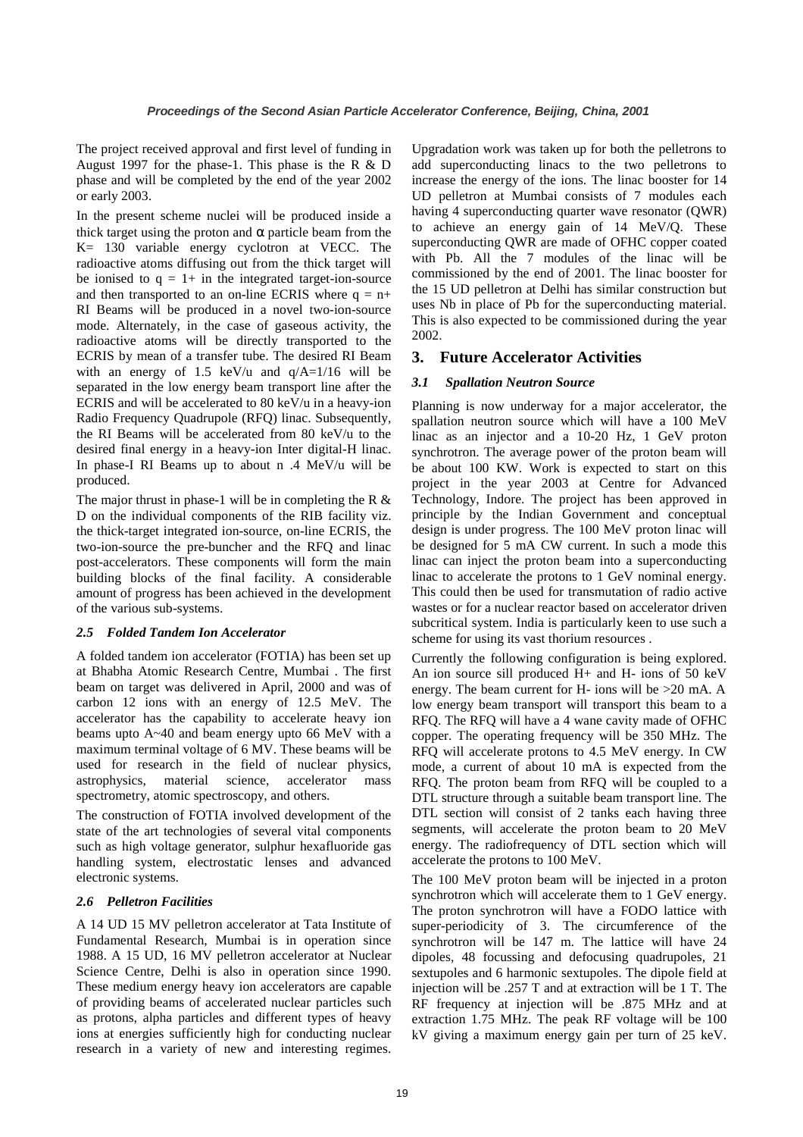The project received approval and first level of funding in August 1997 for the phase-1. This phase is the R & D phase and will be completed by the end of the year 2002 or early 2003.

In the present scheme nuclei will be produced inside a thick target using the proton and  $\alpha$  particle beam from the K= 130 variable energy cyclotron at VECC. The radioactive atoms diffusing out from the thick target will be ionised to  $q = 1 + i$  in the integrated target-ion-source and then transported to an on-line ECRIS where  $q = n+$ RI Beams will be produced in a novel two-ion-source mode. Alternately, in the case of gaseous activity, the radioactive atoms will be directly transported to the ECRIS by mean of a transfer tube. The desired RI Beam with an energy of 1.5 keV/u and  $q/A=1/16$  will be separated in the low energy beam transport line after the ECRIS and will be accelerated to 80 keV/u in a heavy-ion Radio Frequency Quadrupole (RFQ) linac. Subsequently, the RI Beams will be accelerated from 80 keV/u to the desired final energy in a heavy-ion Inter digital-H linac. In phase-I RI Beams up to about n .4 MeV/u will be produced.

The major thrust in phase-1 will be in completing the R  $\&$ D on the individual components of the RIB facility viz. the thick-target integrated ion-source, on-line ECRIS, the two-ion-source the pre-buncher and the RFQ and linac post-accelerators. These components will form the main building blocks of the final facility. A considerable amount of progress has been achieved in the development of the various sub-systems.

### *2.5 Folded Tandem Ion Accelerator*

A folded tandem ion accelerator (FOTIA) has been set up at Bhabha Atomic Research Centre, Mumbai . The first beam on target was delivered in April, 2000 and was of carbon 12 ions with an energy of 12.5 MeV. The accelerator has the capability to accelerate heavy ion beams upto A~40 and beam energy upto 66 MeV with a maximum terminal voltage of 6 MV. These beams will be used for research in the field of nuclear physics, astrophysics, material science, accelerator mass spectrometry, atomic spectroscopy, and others.

The construction of FOTIA involved development of the state of the art technologies of several vital components such as high voltage generator, sulphur hexafluoride gas handling system, electrostatic lenses and advanced electronic systems.

## *2.6 Pelletron Facilities*

A 14 UD 15 MV pelletron accelerator at Tata Institute of Fundamental Research, Mumbai is in operation since 1988. A 15 UD, 16 MV pelletron accelerator at Nuclear Science Centre, Delhi is also in operation since 1990. These medium energy heavy ion accelerators are capable of providing beams of accelerated nuclear particles such as protons, alpha particles and different types of heavy ions at energies sufficiently high for conducting nuclear research in a variety of new and interesting regimes.

Upgradation work was taken up for both the pelletrons to add superconducting linacs to the two pelletrons to increase the energy of the ions. The linac booster for 14 UD pelletron at Mumbai consists of 7 modules each having 4 superconducting quarter wave resonator (QWR) to achieve an energy gain of 14 MeV/Q. These superconducting QWR are made of OFHC copper coated with Pb. All the 7 modules of the linac will be commissioned by the end of 2001. The linac booster for the 15 UD pelletron at Delhi has similar construction but uses Nb in place of Pb for the superconducting material. This is also expected to be commissioned during the year 2002.

## **3. Future Accelerator Activities**

## *3.1 Spallation Neutron Source*

Planning is now underway for a major accelerator, the spallation neutron source which will have a 100 MeV linac as an injector and a 10-20 Hz, 1 GeV proton synchrotron. The average power of the proton beam will be about 100 KW. Work is expected to start on this project in the year 2003 at Centre for Advanced Technology, Indore. The project has been approved in principle by the Indian Government and conceptual design is under progress. The 100 MeV proton linac will be designed for 5 mA CW current. In such a mode this linac can inject the proton beam into a superconducting linac to accelerate the protons to 1 GeV nominal energy. This could then be used for transmutation of radio active wastes or for a nuclear reactor based on accelerator driven subcritical system. India is particularly keen to use such a scheme for using its vast thorium resources .

Currently the following configuration is being explored. An ion source sill produced H+ and H- ions of 50 keV energy. The beam current for H- ions will be >20 mA. A low energy beam transport will transport this beam to a RFQ. The RFQ will have a 4 wane cavity made of OFHC copper. The operating frequency will be 350 MHz. The RFQ will accelerate protons to 4.5 MeV energy. In CW mode, a current of about 10 mA is expected from the RFQ. The proton beam from RFQ will be coupled to a DTL structure through a suitable beam transport line. The DTL section will consist of 2 tanks each having three segments, will accelerate the proton beam to 20 MeV energy. The radiofrequency of DTL section which will accelerate the protons to 100 MeV.

The 100 MeV proton beam will be injected in a proton synchrotron which will accelerate them to 1 GeV energy. The proton synchrotron will have a FODO lattice with super-periodicity of 3. The circumference of the synchrotron will be 147 m. The lattice will have 24 dipoles, 48 focussing and defocusing quadrupoles, 21 sextupoles and 6 harmonic sextupoles. The dipole field at injection will be .257 T and at extraction will be 1 T. The RF frequency at injection will be .875 MHz and at extraction 1.75 MHz. The peak RF voltage will be 100 kV giving a maximum energy gain per turn of 25 keV.